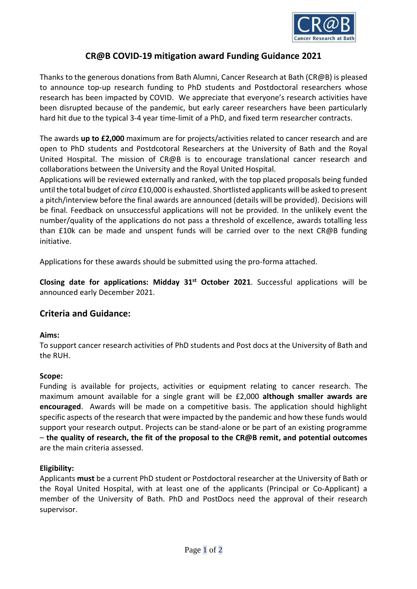

# **CR@B COVID-19 mitigation award Funding Guidance 2021**

Thanks to the generous donations from Bath Alumni, Cancer Research at Bath (CR@B) is pleased to announce top-up research funding to PhD students and Postdoctoral researchers whose research has been impacted by COVID. We appreciate that everyone's research activities have been disrupted because of the pandemic, but early career researchers have been particularly hard hit due to the typical 3-4 year time-limit of a PhD, and fixed term researcher contracts.

The awards **up to £2,000** maximum are for projects/activities related to cancer research and are open to PhD students and Postdcotoral Researchers at the University of Bath and the Royal United Hospital. The mission of CR@B is to encourage translational cancer research and collaborations between the University and the Royal United Hospital.

Applications will be reviewed externally and ranked, with the top placed proposals being funded until the total budget of *circa* £10,000 is exhausted. Shortlisted applicants will be asked to present a pitch/interview before the final awards are announced (details will be provided). Decisions will be final. Feedback on unsuccessful applications will not be provided. In the unlikely event the number/quality of the applications do not pass a threshold of excellence, awards totalling less than £10k can be made and unspent funds will be carried over to the next CR@B funding initiative.

Applications for these awards should be submitted using the pro-forma attached.

**Closing date for applications: Midday 31st October 2021**. Successful applications will be announced early December 2021.

## **Criteria and Guidance:**

#### **Aims:**

To support cancer research activities of PhD students and Post docs at the University of Bath and the RUH.

#### **Scope:**

Funding is available for projects, activities or equipment relating to cancer research. The maximum amount available for a single grant will be £2,000 **although smaller awards are encouraged**. Awards will be made on a competitive basis. The application should highlight specific aspects of the research that were impacted by the pandemic and how these funds would support your research output. Projects can be stand-alone or be part of an existing programme – **the quality of research, the fit of the proposal to the CR@B remit, and potential outcomes** are the main criteria assessed.

## **Eligibility:**

Applicants **must** be a current PhD student or Postdoctoral researcher at the University of Bath or the Royal United Hospital, with at least one of the applicants (Principal or Co-Applicant) a member of the University of Bath. PhD and PostDocs need the approval of their research supervisor.